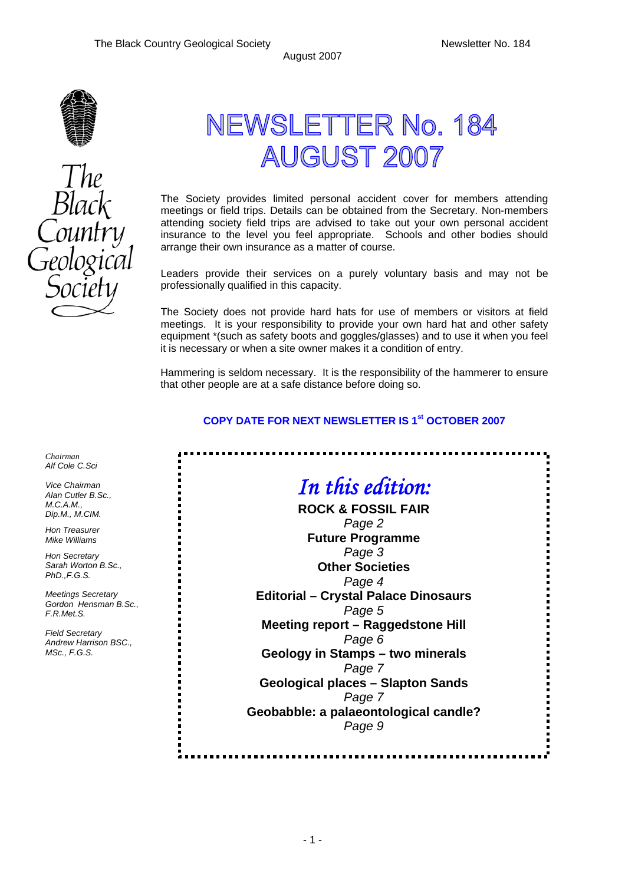ų,



Black

# NEWSLETTER No. 184 **AUGUST 2007**

The Society provides limited personal accident cover for members attending meetings or field trips. Details can be obtained from the Secretary. Non-members attending society field trips are advised to take out your own personal accident insurance to the level you feel appropriate. Schools and other bodies should arrange their own insurance as a matter of course.

Leaders provide their services on a purely voluntary basis and may not be professionally qualified in this capacity.

The Society does not provide hard hats for use of members or visitors at field meetings. It is your responsibility to provide your own hard hat and other safety equipment \*(such as safety boots and goggles/glasses) and to use it when you feel it is necessary or when a site owner makes it a condition of entry.

Hammering is seldom necessary. It is the responsibility of the hammerer to ensure that other people are at a safe distance before doing so.

### **COPY DATE FOR NEXT NEWSLETTER IS 1<sup>st</sup> OCTOBER 2007**

*In this edition:*  **ROCK & FOSSIL FAIR**  *Page 2*  **Future Programme**  *Page 3*  **Other Societies**  *Page 4*  **Editorial – Crystal Palace Dinosaurs**  *Page 5*  **Meeting report – Raggedstone Hill**  *Page 6*  **Geology in Stamps – two minerals**  *Page 7*  **Geological places – Slapton Sands**  *Page 7*  **Geobabble: a palaeontological candle?**  *Page 9* 

----------

*Chairman Alf Cole C.Sci* 

*Vice Chairman Alan Cutler B.Sc., M.C.A.M., Dip.M., M.CIM.* 

*Hon Treasurer Mike Williams* 

*Hon Secretary Sarah Worton B.Sc., PhD.,F.G.S.* 

*Meetings Secretary Gordon Hensman B.Sc., F.R.Met.S.* 

*Field Secretary Andrew Harrison BSC., MSc., F.G.S.*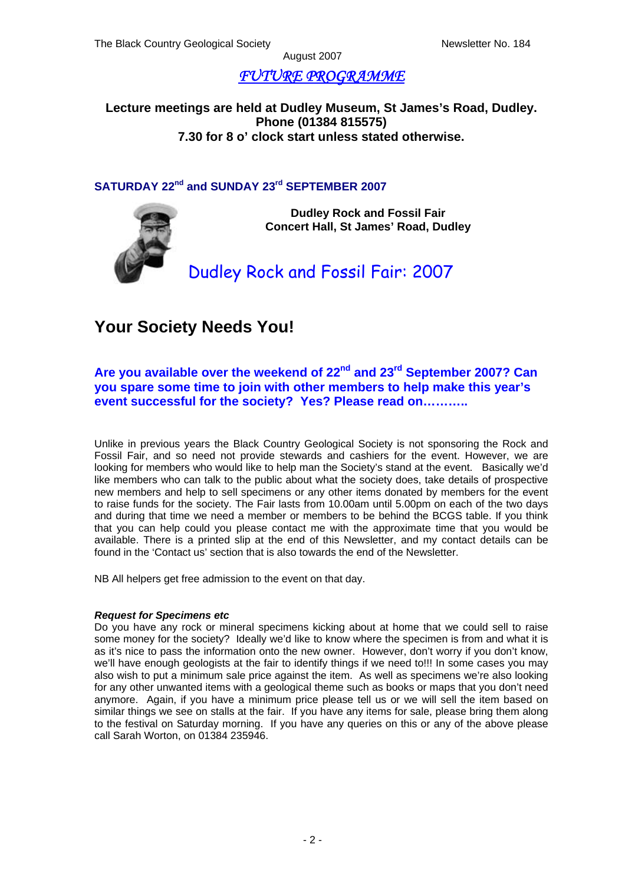# *FUTURE PROGRAMME*

**Lecture meetings are held at Dudley Museum, St James's Road, Dudley. Phone (01384 815575) 7.30 for 8 o' clock start unless stated otherwise.**

### **SATURDAY 22nd and SUNDAY 23rd SEPTEMBER 2007**



**Dudley Rock and Fossil Fair Concert Hall, St James' Road, Dudley** 

# Dudley Rock and Fossil Fair: 2007

# **Your Society Needs You!**

### **Are you available over the weekend of 22nd and 23rd September 2007? Can you spare some time to join with other members to help make this year's event successful for the society? Yes? Please read on………..**

Unlike in previous years the Black Country Geological Society is not sponsoring the Rock and Fossil Fair, and so need not provide stewards and cashiers for the event. However, we are looking for members who would like to help man the Society's stand at the event. Basically we'd like members who can talk to the public about what the society does, take details of prospective new members and help to sell specimens or any other items donated by members for the event to raise funds for the society. The Fair lasts from 10.00am until 5.00pm on each of the two days and during that time we need a member or members to be behind the BCGS table. If you think that you can help could you please contact me with the approximate time that you would be available. There is a printed slip at the end of this Newsletter, and my contact details can be found in the 'Contact us' section that is also towards the end of the Newsletter.

NB All helpers get free admission to the event on that day.

#### *Request for Specimens etc*

Do you have any rock or mineral specimens kicking about at home that we could sell to raise some money for the society? Ideally we'd like to know where the specimen is from and what it is as it's nice to pass the information onto the new owner. However, don't worry if you don't know, we'll have enough geologists at the fair to identify things if we need to!!! In some cases you may also wish to put a minimum sale price against the item. As well as specimens we're also looking for any other unwanted items with a geological theme such as books or maps that you don't need anymore. Again, if you have a minimum price please tell us or we will sell the item based on similar things we see on stalls at the fair. If you have any items for sale, please bring them along to the festival on Saturday morning. If you have any queries on this or any of the above please call Sarah Worton, on 01384 235946.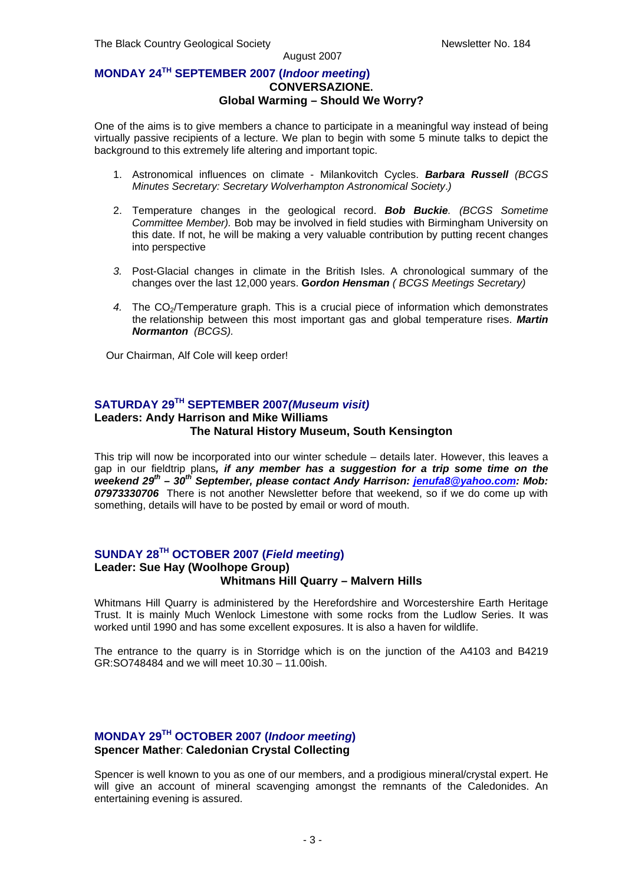### **MONDAY 24TH SEPTEMBER 2007 (***Indoor meeting***) CONVERSAZIONE. Global Warming – Should We Worry?**

One of the aims is to give members a chance to participate in a meaningful way instead of being virtually passive recipients of a lecture. We plan to begin with some 5 minute talks to depict the background to this extremely life altering and important topic.

- 1. Astronomical influences on climate Milankovitch Cycles. *Barbara Russell (BCGS Minutes Secretary: Secretary Wolverhampton Astronomical Society*.*)*
- 2. Temperature changes in the geological record. *Bob Buckie. (BCGS Sometime Committee Member).* Bob may be involved in field studies with Birmingham University on this date. If not, he will be making a very valuable contribution by putting recent changes into perspective
- *3.* Post-Glacial changes in climate in the British Isles. A chronological summary of the changes over the last 12,000 years. **G***ordon Hensman ( BCGS Meetings Secretary)*
- 4. The CO<sub>2</sub>/Temperature graph. This is a crucial piece of information which demonstrates the relationship between this most important gas and global temperature rises. *Martin Normanton (BCGS).*

Our Chairman, Alf Cole will keep order!

### **SATURDAY 29TH SEPTEMBER 2007***(Museum visit)*

### **Leaders: Andy Harrison and Mike Williams**

### **The Natural History Museum, South Kensington**

This trip will now be incorporated into our winter schedule – details later. However, this leaves a gap in our fieldtrip plans*, if any member has a suggestion for a trip some time on the weekend 29th – 30th September, please contact Andy Harrison: [jenufa8@yahoo.com](mailto:jenufa8@yahoo.com): Mob: 07973330706* There is not another Newsletter before that weekend, so if we do come up with something, details will have to be posted by email or word of mouth.

### **SUNDAY 28TH OCTOBER 2007 (***Field meeting***)**

#### **Leader: Sue Hay (Woolhope Group) Whitmans Hill Quarry – Malvern Hills**

# Whitmans Hill Quarry is administered by the Herefordshire and Worcestershire Earth Heritage

Trust. It is mainly Much Wenlock Limestone with some rocks from the Ludlow Series. It was worked until 1990 and has some excellent exposures. It is also a haven for wildlife.

The entrance to the quarry is in Storridge which is on the junction of the A4103 and B4219 GR:SO748484 and we will meet 10.30 – 11.00ish.

### **MONDAY 29TH OCTOBER 2007 (***Indoor meeting***) Spencer Mather**: **Caledonian Crystal Collecting**

Spencer is well known to you as one of our members, and a prodigious mineral/crystal expert. He will give an account of mineral scavenging amongst the remnants of the Caledonides. An entertaining evening is assured.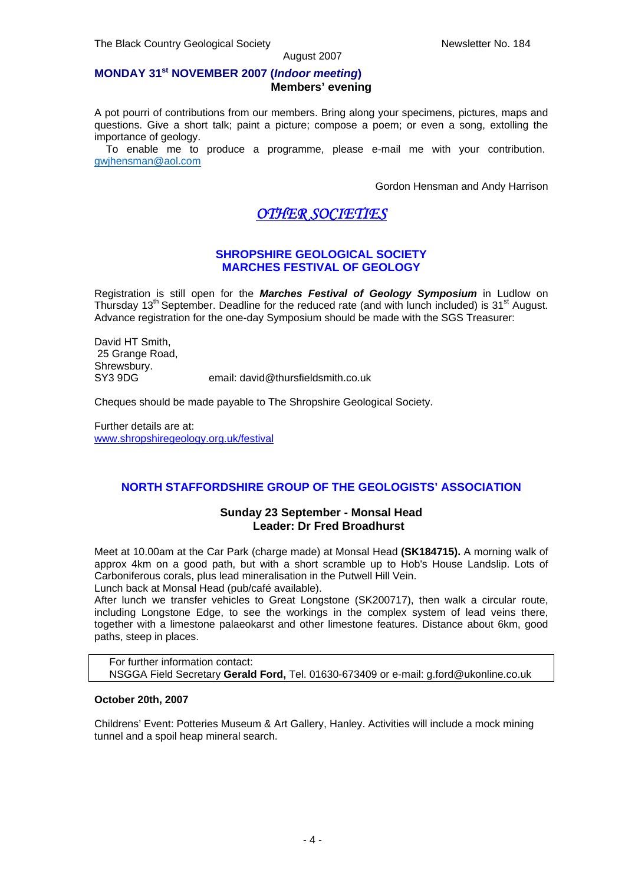#### **MONDAY 31st NOVEMBER 2007 (***Indoor meeting***) Members' evening**

A pot pourri of contributions from our members. Bring along your specimens, pictures, maps and questions. Give a short talk; paint a picture; compose a poem; or even a song, extolling the importance of geology.

 To enable me to produce a programme, please e-mail me with your contribution. [gwjhensman@aol.com](mailto:gwjhensman@aol.com)

Gordon Hensman and Andy Harrison

## *OTHER SOCIETIES*

#### **SHROPSHIRE GEOLOGICAL SOCIETY MARCHES FESTIVAL OF GEOLOGY**

Registration is still open for the *Marches Festival of Geology Symposium* in Ludlow on Thursday  $13<sup>th</sup>$  September. Deadline for the reduced rate (and with lunch included) is  $31<sup>st</sup>$  August. Advance registration for the one-day Symposium should be made with the SGS Treasurer:

David HT Smith, 25 Grange Road, Shrewsbury.<br>SY3 9DG email: david@thursfieldsmith.co.uk

Cheques should be made payable to The Shropshire Geological Society.

Further details are at: [www.shropshiregeology.org.uk/festival](http://www.shropshiregeology.org.uk/festival)

### **NORTH STAFFORDSHIRE GROUP OF THE GEOLOGISTS' ASSOCIATION**

#### **Sunday 23 September - Monsal Head Leader: Dr Fred Broadhurst**

Meet at 10.00am at the Car Park (charge made) at Monsal Head **(SK184715).** A morning walk of approx 4km on a good path, but with a short scramble up to Hob's House Landslip. Lots of Carboniferous corals, plus lead mineralisation in the Putwell Hill Vein.

Lunch back at Monsal Head (pub/café available).

After lunch we transfer vehicles to Great Longstone (SK200717), then walk a circular route, including Longstone Edge, to see the workings in the complex system of lead veins there, together with a limestone palaeokarst and other limestone features. Distance about 6km, good paths, steep in places.

For further information contact: NSGGA Field Secretary **Gerald Ford,** Tel. 01630-673409 or e-mail: g.ford@ukonline.co.uk

#### **October 20th, 2007**

Childrens' Event: Potteries Museum & Art Gallery, Hanley. Activities will include a mock mining tunnel and a spoil heap mineral search.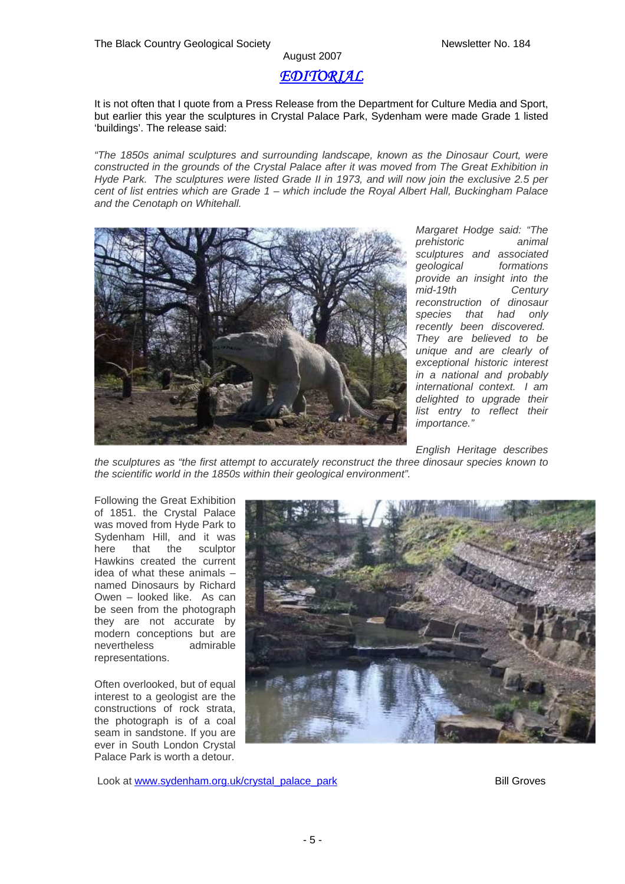# August 2007 *EDITORIAL*

It is not often that I quote from a Press Release from the Department for Culture Media and Sport, but earlier this year the sculptures in Crystal Palace Park, Sydenham were made Grade 1 listed 'buildings'. The release said:

*"The 1850s animal sculptures and surrounding landscape, known as the Dinosaur Court, were constructed in the grounds of the Crystal Palace after it was moved from The Great Exhibition in Hyde Park. The sculptures were listed Grade II in 1973, and will now join the exclusive 2.5 per cent of list entries which are Grade 1 – which include the Royal Albert Hall, Buckingham Palace and the Cenotaph on Whitehall.* 



*Margaret Hodge said: "The prehistoric animal sculptures and associated geological formations provide an insight into the mid-19th Century reconstruction of dinosaur species that had only recently been discovered. They are believed to be unique and are clearly of exceptional historic interest in a national and probably international context. I am delighted to upgrade their list entry to reflect their importance."* 

*English Heritage describes* 

*the sculptures as "the first attempt to accurately reconstruct the three dinosaur species known to the scientific world in the 1850s within their geological environment".* 

Following the Great Exhibition of 1851. the Crystal Palace was moved from Hyde Park to Sydenham Hill, and it was here that the sculptor Hawkins created the current idea of what these animals – named Dinosaurs by Richard Owen – looked like. As can be seen from the photograph they are not accurate by modern conceptions but are nevertheless admirable representations.

Often overlooked, but of equal interest to a geologist are the constructions of rock strata, the photograph is of a coal seam in sandstone. If you are ever in South London Crystal Palace Park is worth a detour.



Look at [www.sydenham.org.uk/crystal\\_palace\\_park](http://www.sydenham.org.uk/crystal_palace_park) Bill Groves Bill Groves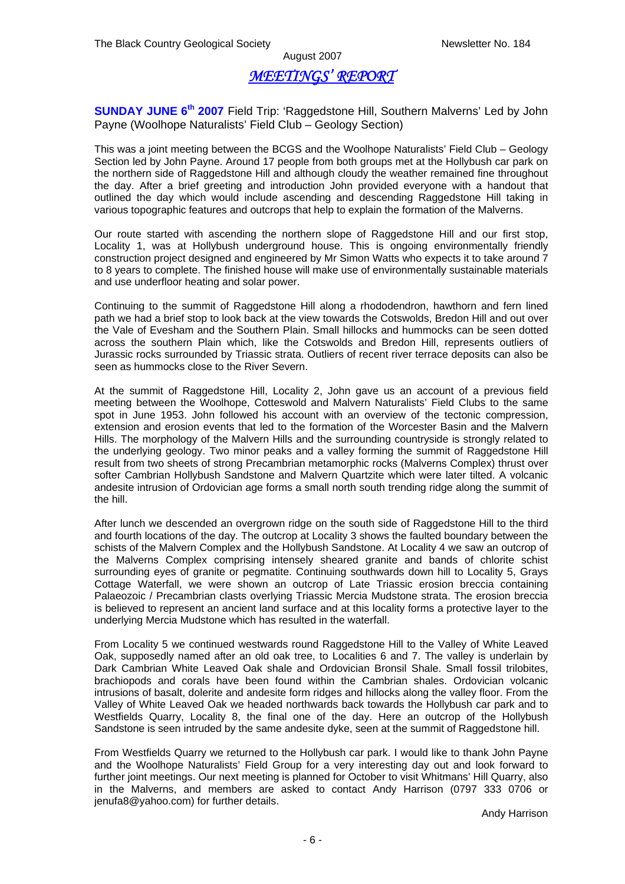### *MEETINGS' REPORT*

**SUNDAY JUNE 6<sup>th</sup> 2007** Field Trip: 'Raggedstone Hill, Southern Malverns' Led by John Payne (Woolhope Naturalists' Field Club – Geology Section)

This was a joint meeting between the BCGS and the Woolhope Naturalists' Field Club – Geology Section led by John Payne. Around 17 people from both groups met at the Hollybush car park on the northern side of Raggedstone Hill and although cloudy the weather remained fine throughout the day. After a brief greeting and introduction John provided everyone with a handout that outlined the day which would include ascending and descending Raggedstone Hill taking in various topographic features and outcrops that help to explain the formation of the Malverns.

Our route started with ascending the northern slope of Raggedstone Hill and our first stop, Locality 1, was at Hollybush underground house. This is ongoing environmentally friendly construction project designed and engineered by Mr Simon Watts who expects it to take around 7 to 8 years to complete. The finished house will make use of environmentally sustainable materials and use underfloor heating and solar power.

Continuing to the summit of Raggedstone Hill along a rhododendron, hawthorn and fern lined path we had a brief stop to look back at the view towards the Cotswolds, Bredon Hill and out over the Vale of Evesham and the Southern Plain. Small hillocks and hummocks can be seen dotted across the southern Plain which, like the Cotswolds and Bredon Hill, represents outliers of Jurassic rocks surrounded by Triassic strata. Outliers of recent river terrace deposits can also be seen as hummocks close to the River Severn.

At the summit of Raggedstone Hill, Locality 2, John gave us an account of a previous field meeting between the Woolhope, Cotteswold and Malvern Naturalists' Field Clubs to the same spot in June 1953. John followed his account with an overview of the tectonic compression, extension and erosion events that led to the formation of the Worcester Basin and the Malvern Hills. The morphology of the Malvern Hills and the surrounding countryside is strongly related to the underlying geology. Two minor peaks and a valley forming the summit of Raggedstone Hill result from two sheets of strong Precambrian metamorphic rocks (Malverns Complex) thrust over softer Cambrian Hollybush Sandstone and Malvern Quartzite which were later tilted. A volcanic andesite intrusion of Ordovician age forms a small north south trending ridge along the summit of the hill.

After lunch we descended an overgrown ridge on the south side of Raggedstone Hill to the third and fourth locations of the day. The outcrop at Locality 3 shows the faulted boundary between the schists of the Malvern Complex and the Hollybush Sandstone. At Locality 4 we saw an outcrop of the Malverns Complex comprising intensely sheared granite and bands of chlorite schist surrounding eyes of granite or pegmatite. Continuing southwards down hill to Locality 5, Grays Cottage Waterfall, we were shown an outcrop of Late Triassic erosion breccia containing Palaeozoic / Precambrian clasts overlying Triassic Mercia Mudstone strata. The erosion breccia is believed to represent an ancient land surface and at this locality forms a protective layer to the underlying Mercia Mudstone which has resulted in the waterfall.

From Locality 5 we continued westwards round Raggedstone Hill to the Valley of White Leaved Oak, supposedly named after an old oak tree, to Localities 6 and 7. The valley is underlain by Dark Cambrian White Leaved Oak shale and Ordovician Bronsil Shale. Small fossil trilobites, brachiopods and corals have been found within the Cambrian shales. Ordovician volcanic intrusions of basalt, dolerite and andesite form ridges and hillocks along the valley floor. From the Valley of White Leaved Oak we headed northwards back towards the Hollybush car park and to Westfields Quarry, Locality 8, the final one of the day. Here an outcrop of the Hollybush Sandstone is seen intruded by the same andesite dyke, seen at the summit of Raggedstone hill.

From Westfields Quarry we returned to the Hollybush car park. I would like to thank John Payne and the Woolhope Naturalists' Field Group for a very interesting day out and look forward to further joint meetings. Our next meeting is planned for October to visit Whitmans' Hill Quarry, also in the Malverns, and members are asked to contact Andy Harrison (0797 333 0706 or jenufa8@yahoo.com) for further details.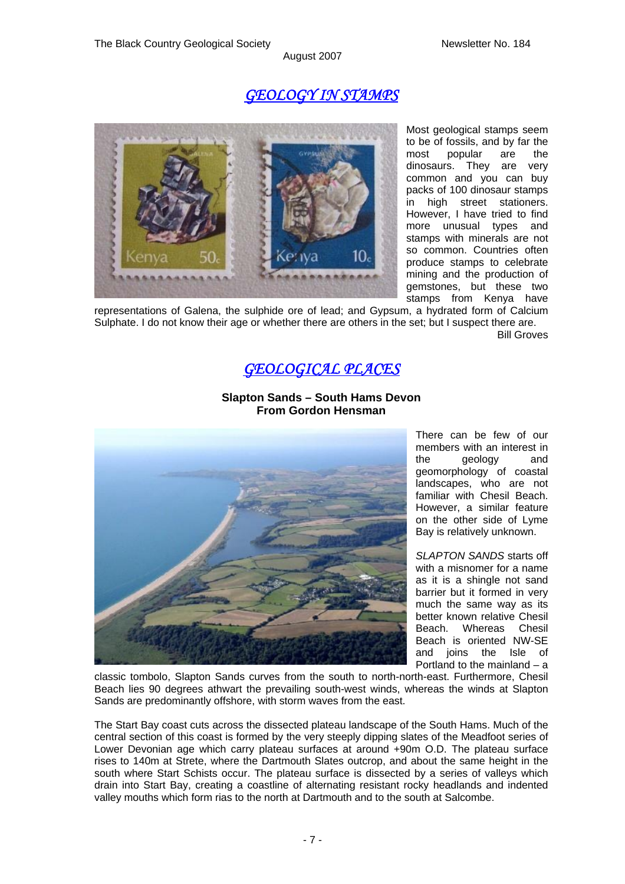# *GEOLOGY IN STAMPS*



Most geological stamps seem to be of fossils, and by far the most popular are the dinosaurs. They are very common and you can buy packs of 100 dinosaur stamps in high street stationers. However, I have tried to find more unusual types and stamps with minerals are not so common. Countries often produce stamps to celebrate mining and the production of gemstones, but these two stamps from Kenya have

representations of Galena, the sulphide ore of lead; and Gypsum, a hydrated form of Calcium Sulphate. I do not know their age or whether there are others in the set; but I suspect there are. Bill Groves

# *GEOLOGICAL PLACES*



#### **Slapton Sands – South Hams Devon From Gordon Hensman**

There can be few of our members with an interest in the geology and geomorphology of coastal landscapes, who are not familiar with Chesil Beach. However, a similar feature on the other side of Lyme Bay is relatively unknown.

*SLAPTON SANDS* starts off with a misnomer for a name as it is a shingle not sand barrier but it formed in very much the same way as its better known relative Chesil Beach. Whereas Chesil Beach is oriented NW-SE and joins the Isle of Portland to the mainland – a

classic tombolo, Slapton Sands curves from the south to north-north-east. Furthermore, Chesil Beach lies 90 degrees athwart the prevailing south-west winds, whereas the winds at Slapton Sands are predominantly offshore, with storm waves from the east.

The Start Bay coast cuts across the dissected plateau landscape of the South Hams. Much of the central section of this coast is formed by the very steeply dipping slates of the Meadfoot series of Lower Devonian age which carry plateau surfaces at around +90m O.D. The plateau surface rises to 140m at Strete, where the Dartmouth Slates outcrop, and about the same height in the south where Start Schists occur. The plateau surface is dissected by a series of valleys which drain into Start Bay, creating a coastline of alternating resistant rocky headlands and indented valley mouths which form rias to the north at Dartmouth and to the south at Salcombe.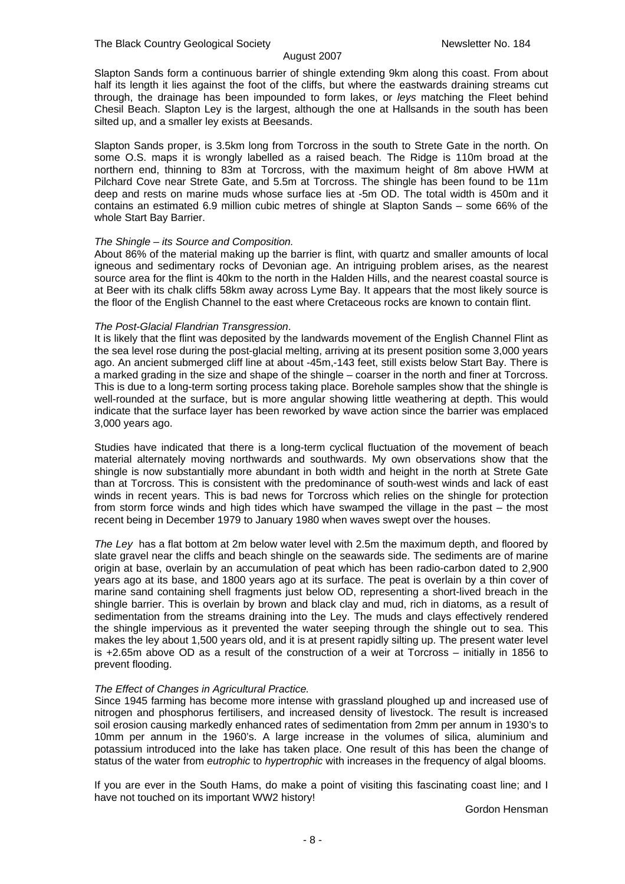Slapton Sands form a continuous barrier of shingle extending 9km along this coast. From about half its length it lies against the foot of the cliffs, but where the eastwards draining streams cut through, the drainage has been impounded to form lakes, or *leys* matching the Fleet behind Chesil Beach. Slapton Ley is the largest, although the one at Hallsands in the south has been silted up, and a smaller ley exists at Beesands.

Slapton Sands proper, is 3.5km long from Torcross in the south to Strete Gate in the north. On some O.S. maps it is wrongly labelled as a raised beach. The Ridge is 110m broad at the northern end, thinning to 83m at Torcross, with the maximum height of 8m above HWM at Pilchard Cove near Strete Gate, and 5.5m at Torcross. The shingle has been found to be 11m deep and rests on marine muds whose surface lies at -5m OD. The total width is 450m and it contains an estimated 6.9 million cubic metres of shingle at Slapton Sands – some 66% of the whole Start Bay Barrier.

#### *The Shingle – its Source and Composition.*

About 86% of the material making up the barrier is flint, with quartz and smaller amounts of local igneous and sedimentary rocks of Devonian age. An intriguing problem arises, as the nearest source area for the flint is 40km to the north in the Halden Hills, and the nearest coastal source is at Beer with its chalk cliffs 58km away across Lyme Bay. It appears that the most likely source is the floor of the English Channel to the east where Cretaceous rocks are known to contain flint.

#### *The Post-Glacial Flandrian Transgression*.

It is likely that the flint was deposited by the landwards movement of the English Channel Flint as the sea level rose during the post-glacial melting, arriving at its present position some 3,000 years ago. An ancient submerged cliff line at about -45m,-143 feet, still exists below Start Bay. There is a marked grading in the size and shape of the shingle – coarser in the north and finer at Torcross. This is due to a long-term sorting process taking place. Borehole samples show that the shingle is well-rounded at the surface, but is more angular showing little weathering at depth. This would indicate that the surface layer has been reworked by wave action since the barrier was emplaced 3,000 years ago.

Studies have indicated that there is a long-term cyclical fluctuation of the movement of beach material alternately moving northwards and southwards. My own observations show that the shingle is now substantially more abundant in both width and height in the north at Strete Gate than at Torcross. This is consistent with the predominance of south-west winds and lack of east winds in recent years. This is bad news for Torcross which relies on the shingle for protection from storm force winds and high tides which have swamped the village in the past – the most recent being in December 1979 to January 1980 when waves swept over the houses.

*The Ley* has a flat bottom at 2m below water level with 2.5m the maximum depth, and floored by slate gravel near the cliffs and beach shingle on the seawards side. The sediments are of marine origin at base, overlain by an accumulation of peat which has been radio-carbon dated to 2,900 years ago at its base, and 1800 years ago at its surface. The peat is overlain by a thin cover of marine sand containing shell fragments just below OD, representing a short-lived breach in the shingle barrier. This is overlain by brown and black clay and mud, rich in diatoms, as a result of sedimentation from the streams draining into the Ley. The muds and clays effectively rendered the shingle impervious as it prevented the water seeping through the shingle out to sea. This makes the ley about 1,500 years old, and it is at present rapidly silting up. The present water level is +2.65m above OD as a result of the construction of a weir at Torcross – initially in 1856 to prevent flooding.

#### *The Effect of Changes in Agricultural Practice.*

Since 1945 farming has become more intense with grassland ploughed up and increased use of nitrogen and phosphorus fertilisers, and increased density of livestock. The result is increased soil erosion causing markedly enhanced rates of sedimentation from 2mm per annum in 1930's to 10mm per annum in the 1960's. A large increase in the volumes of silica, aluminium and potassium introduced into the lake has taken place. One result of this has been the change of status of the water from *eutrophic* to *hypertrophic* with increases in the frequency of algal blooms.

If you are ever in the South Hams, do make a point of visiting this fascinating coast line; and I have not touched on its important WW2 history!

Gordon Hensman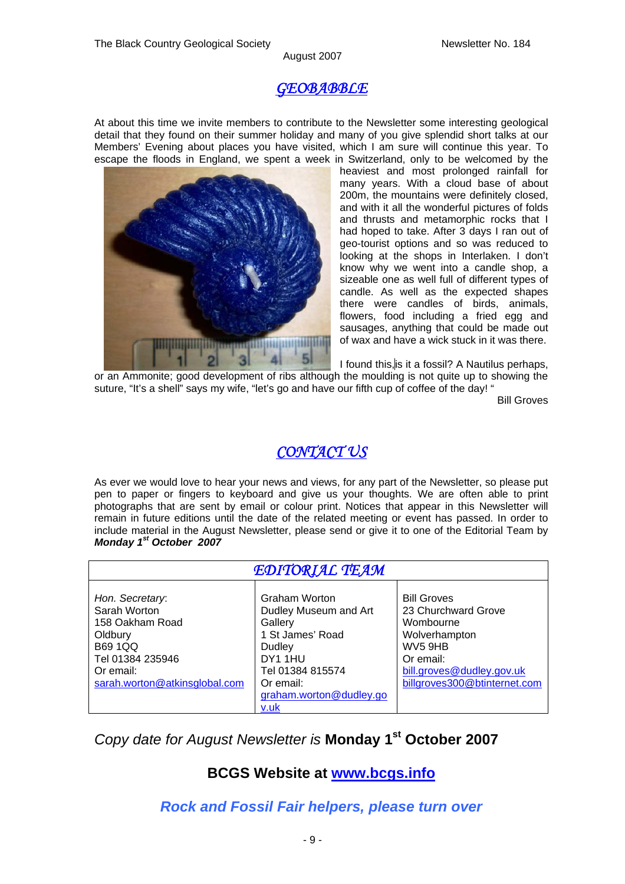# *GEOBABBLE*

At about this time we invite members to contribute to the Newsletter some interesting geological detail that they found on their summer holiday and many of you give splendid short talks at our Members' Evening about places you have visited, which I am sure will continue this year. To escape the floods in England, we spent a week in Switzerland, only to be welcomed by the



heaviest and most prolonged rainfall for many years. With a cloud base of about 200m, the mountains were definitely closed, and with it all the wonderful pictures of folds and thrusts and metamorphic rocks that I had hoped to take. After 3 days I ran out of geo-tourist options and so was reduced to looking at the shops in Interlaken. I don't know why we went into a candle shop, a sizeable one as well full of different types of candle. As well as the expected shapes there were candles of birds, animals, flowers, food including a fried egg and sausages, anything that could be made out of wax and have a wick stuck in it was there.

I found this,is it a fossil? A Nautilus perhaps,

or an Ammonite; good development of ribs although the moulding is not quite up to showing the suture, "It's a shell" says my wife, "let's go and have our fifth cup of coffee of the day!"

Bill Groves

# *CONTACT US*

As ever we would love to hear your news and views, for any part of the Newsletter, so please put pen to paper or fingers to keyboard and give us your thoughts. We are often able to print photographs that are sent by email or colour print. Notices that appear in this Newsletter will remain in future editions until the date of the related meeting or event has passed. In order to include material in the August Newsletter, please send or give it to one of the Editorial Team by *Monday 1st October 2007* 

| <b>EDITORIAL TEAM</b>                                                                                                                             |                                                                                                                                                                            |                                                                                                                                                              |
|---------------------------------------------------------------------------------------------------------------------------------------------------|----------------------------------------------------------------------------------------------------------------------------------------------------------------------------|--------------------------------------------------------------------------------------------------------------------------------------------------------------|
| Hon. Secretary:<br>Sarah Worton<br>158 Oakham Road<br>Oldbury<br><b>B69 1QQ</b><br>Tel 01384 235946<br>Or email:<br>sarah.worton@atkinsglobal.com | Graham Worton<br>Dudley Museum and Art<br>Gallery<br>1 St James' Road<br>Dudley<br>DY <sub>1</sub> 1HU<br>Tel 01384 815574<br>Or email:<br>graham.worton@dudley.go<br>v.uk | <b>Bill Groves</b><br>23 Churchward Grove<br>Wombourne<br>Wolverhampton<br>WV5 9HB<br>Or email:<br>bill.groves@dudley.gov.uk<br>billgroves300@btinternet.com |

# *Copy date for August Newsletter is* **Monday 1st October 2007**

# **BCGS Website at [www.bcgs.info](http://www.bcgs.info/)**

*Rock and Fossil Fair helpers, please turn over*